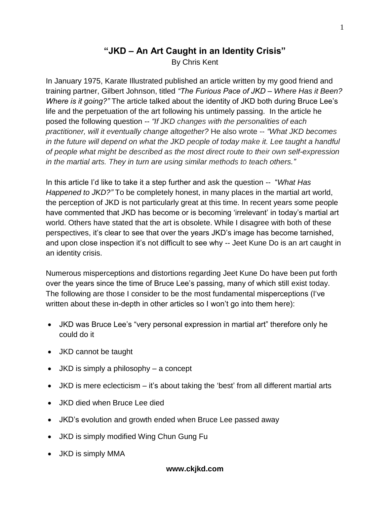# **"JKD – An Art Caught in an Identity Crisis"** By Chris Kent

In January 1975, Karate Illustrated published an article written by my good friend and training partner, Gilbert Johnson, titled *"The Furious Pace of JKD – Where Has it Been? Where is it going?"* The article talked about the identity of JKD both during Bruce Lee's life and the perpetuation of the art following his untimely passing. In the article he posed the following question -- *"If JKD changes with the personalities of each practitioner, will it eventually change altogether?* He also wrote -- *"What JKD becomes in the future will depend on what the JKD people of today make it. Lee taught a handful of people what might be described as the most direct route to their own self-expression in the martial arts. They in turn are using similar methods to teach others."*

In this article I'd like to take it a step further and ask the question -- "*What Has Happened to JKD?"* To be completely honest, in many places in the martial art world, the perception of JKD is not particularly great at this time. In recent years some people have commented that JKD has become or is becoming 'irrelevant' in today's martial art world. Others have stated that the art is obsolete. While I disagree with both of these perspectives, it's clear to see that over the years JKD's image has become tarnished, and upon close inspection it's not difficult to see why -- Jeet Kune Do is an art caught in an identity crisis.

Numerous misperceptions and distortions regarding Jeet Kune Do have been put forth over the years since the time of Bruce Lee's passing, many of which still exist today. The following are those I consider to be the most fundamental misperceptions (I've written about these in-depth in other articles so I won't go into them here):

- JKD was Bruce Lee's "very personal expression in martial art" therefore only he could do it
- JKD cannot be taught
- JKD is simply a philosophy a concept
- JKD is mere eclecticism it's about taking the 'best' from all different martial arts
- JKD died when Bruce Lee died
- JKD's evolution and growth ended when Bruce Lee passed away
- JKD is simply modified Wing Chun Gung Fu
- JKD is simply MMA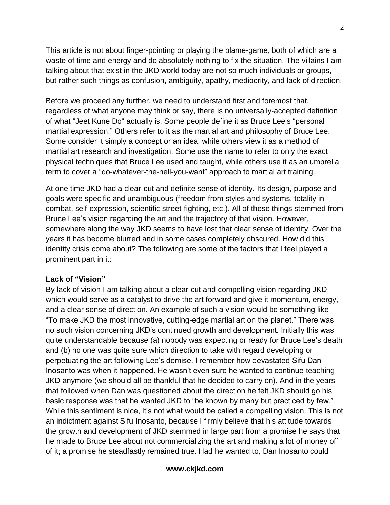This article is not about finger-pointing or playing the blame-game, both of which are a waste of time and energy and do absolutely nothing to fix the situation. The villains I am talking about that exist in the JKD world today are not so much individuals or groups, but rather such things as confusion, ambiguity, apathy, mediocrity, and lack of direction.

Before we proceed any further, we need to understand first and foremost that, regardless of what anyone may think or say, there is no universally-accepted definition of what "Jeet Kune Do" actually is. Some people define it as Bruce Lee's "personal martial expression." Others refer to it as the martial art and philosophy of Bruce Lee. Some consider it simply a concept or an idea, while others view it as a method of martial art research and investigation. Some use the name to refer to only the exact physical techniques that Bruce Lee used and taught, while others use it as an umbrella term to cover a "do-whatever-the-hell-you-want" approach to martial art training.

At one time JKD had a clear-cut and definite sense of identity. Its design, purpose and goals were specific and unambiguous (freedom from styles and systems, totality in combat, self-expression, scientific street-fighting, etc.). All of these things stemmed from Bruce Lee's vision regarding the art and the trajectory of that vision. However, somewhere along the way JKD seems to have lost that clear sense of identity. Over the years it has become blurred and in some cases completely obscured. How did this identity crisis come about? The following are some of the factors that I feel played a prominent part in it:

#### **Lack of "Vision"**

By lack of vision I am talking about a clear-cut and compelling vision regarding JKD which would serve as a catalyst to drive the art forward and give it momentum, energy, and a clear sense of direction. An example of such a vision would be something like -- "To make JKD the most innovative, cutting-edge martial art on the planet." There was no such vision concerning JKD's continued growth and development. Initially this was quite understandable because (a) nobody was expecting or ready for Bruce Lee's death and (b) no one was quite sure which direction to take with regard developing or perpetuating the art following Lee's demise. I remember how devastated Sifu Dan Inosanto was when it happened. He wasn't even sure he wanted to continue teaching JKD anymore (we should all be thankful that he decided to carry on). And in the years that followed when Dan was questioned about the direction he felt JKD should go his basic response was that he wanted JKD to "be known by many but practiced by few." While this sentiment is nice, it's not what would be called a compelling vision. This is not an indictment against Sifu Inosanto, because I firmly believe that his attitude towards the growth and development of JKD stemmed in large part from a promise he says that he made to Bruce Lee about not commercializing the art and making a lot of money off of it; a promise he steadfastly remained true. Had he wanted to, Dan Inosanto could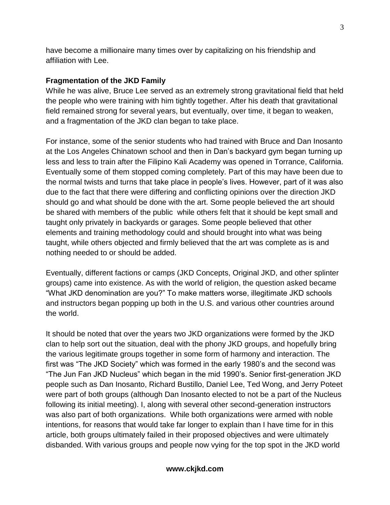have become a millionaire many times over by capitalizing on his friendship and affiliation with Lee.

### **Fragmentation of the JKD Family**

While he was alive, Bruce Lee served as an extremely strong gravitational field that held the people who were training with him tightly together. After his death that gravitational field remained strong for several years, but eventually, over time, it began to weaken, and a fragmentation of the JKD clan began to take place.

For instance, some of the senior students who had trained with Bruce and Dan Inosanto at the Los Angeles Chinatown school and then in Dan's backyard gym began turning up less and less to train after the Filipino Kali Academy was opened in Torrance, California. Eventually some of them stopped coming completely. Part of this may have been due to the normal twists and turns that take place in people's lives. However, part of it was also due to the fact that there were differing and conflicting opinions over the direction JKD should go and what should be done with the art. Some people believed the art should be shared with members of the public while others felt that it should be kept small and taught only privately in backyards or garages. Some people believed that other elements and training methodology could and should brought into what was being taught, while others objected and firmly believed that the art was complete as is and nothing needed to or should be added.

Eventually, different factions or camps (JKD Concepts, Original JKD, and other splinter groups) came into existence. As with the world of religion, the question asked became "What JKD denomination are you?" To make matters worse, illegitimate JKD schools and instructors began popping up both in the U.S. and various other countries around the world.

It should be noted that over the years two JKD organizations were formed by the JKD clan to help sort out the situation, deal with the phony JKD groups, and hopefully bring the various legitimate groups together in some form of harmony and interaction. The first was "The JKD Society" which was formed in the early 1980's and the second was "The Jun Fan JKD Nucleus" which began in the mid 1990's. Senior first-generation JKD people such as Dan Inosanto, Richard Bustillo, Daniel Lee, Ted Wong, and Jerry Poteet were part of both groups (although Dan Inosanto elected to not be a part of the Nucleus following its initial meeting). I, along with several other second-generation instructors was also part of both organizations. While both organizations were armed with noble intentions, for reasons that would take far longer to explain than I have time for in this article, both groups ultimately failed in their proposed objectives and were ultimately disbanded. With various groups and people now vying for the top spot in the JKD world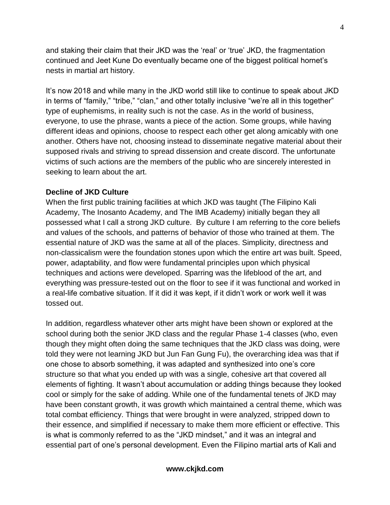and staking their claim that their JKD was the 'real' or 'true' JKD, the fragmentation continued and Jeet Kune Do eventually became one of the biggest political hornet's nests in martial art history.

It's now 2018 and while many in the JKD world still like to continue to speak about JKD in terms of "family," "tribe," "clan," and other totally inclusive "we're all in this together" type of euphemisms, in reality such is not the case. As in the world of business, everyone, to use the phrase, wants a piece of the action. Some groups, while having different ideas and opinions, choose to respect each other get along amicably with one another. Others have not, choosing instead to disseminate negative material about their supposed rivals and striving to spread dissension and create discord. The unfortunate victims of such actions are the members of the public who are sincerely interested in seeking to learn about the art.

### **Decline of JKD Culture**

When the first public training facilities at which JKD was taught (The Filipino Kali Academy, The Inosanto Academy, and The IMB Academy) initially began they all possessed what I call a strong JKD culture. By culture I am referring to the core beliefs and values of the schools, and patterns of behavior of those who trained at them. The essential nature of JKD was the same at all of the places. Simplicity, directness and non-classicalism were the foundation stones upon which the entire art was built. Speed, power, adaptability, and flow were fundamental principles upon which physical techniques and actions were developed. Sparring was the lifeblood of the art, and everything was pressure-tested out on the floor to see if it was functional and worked in a real-life combative situation. If it did it was kept, if it didn't work or work well it was tossed out.

In addition, regardless whatever other arts might have been shown or explored at the school during both the senior JKD class and the regular Phase 1-4 classes (who, even though they might often doing the same techniques that the JKD class was doing, were told they were not learning JKD but Jun Fan Gung Fu), the overarching idea was that if one chose to absorb something, it was adapted and synthesized into one's core structure so that what you ended up with was a single, cohesive art that covered all elements of fighting. It wasn't about accumulation or adding things because they looked cool or simply for the sake of adding. While one of the fundamental tenets of JKD may have been constant growth, it was growth which maintained a central theme, which was total combat efficiency. Things that were brought in were analyzed, stripped down to their essence, and simplified if necessary to make them more efficient or effective. This is what is commonly referred to as the "JKD mindset," and it was an integral and essential part of one's personal development. Even the Filipino martial arts of Kali and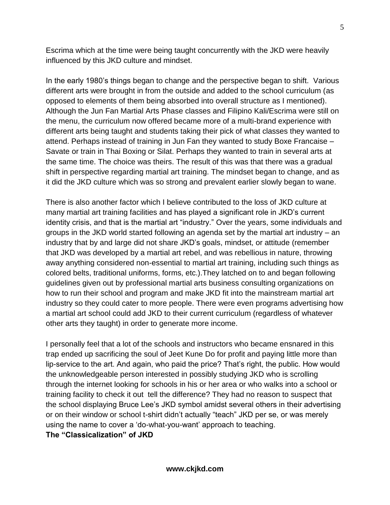Escrima which at the time were being taught concurrently with the JKD were heavily influenced by this JKD culture and mindset.

In the early 1980's things began to change and the perspective began to shift. Various different arts were brought in from the outside and added to the school curriculum (as opposed to elements of them being absorbed into overall structure as I mentioned). Although the Jun Fan Martial Arts Phase classes and Filipino Kali/Escrima were still on the menu, the curriculum now offered became more of a multi-brand experience with different arts being taught and students taking their pick of what classes they wanted to attend. Perhaps instead of training in Jun Fan they wanted to study Boxe Francaise – Savate or train in Thai Boxing or Silat. Perhaps they wanted to train in several arts at the same time. The choice was theirs. The result of this was that there was a gradual shift in perspective regarding martial art training. The mindset began to change, and as it did the JKD culture which was so strong and prevalent earlier slowly began to wane.

There is also another factor which I believe contributed to the loss of JKD culture at many martial art training facilities and has played a significant role in JKD's current identity crisis, and that is the martial art "industry." Over the years, some individuals and groups in the JKD world started following an agenda set by the martial art industry – an industry that by and large did not share JKD's goals, mindset, or attitude (remember that JKD was developed by a martial art rebel, and was rebellious in nature, throwing away anything considered non-essential to martial art training, including such things as colored belts, traditional uniforms, forms, etc.).They latched on to and began following guidelines given out by professional martial arts business consulting organizations on how to run their school and program and make JKD fit into the mainstream martial art industry so they could cater to more people. There were even programs advertising how a martial art school could add JKD to their current curriculum (regardless of whatever other arts they taught) in order to generate more income.

I personally feel that a lot of the schools and instructors who became ensnared in this trap ended up sacrificing the soul of Jeet Kune Do for profit and paying little more than lip-service to the art. And again, who paid the price? That's right, the public. How would the unknowledgeable person interested in possibly studying JKD who is scrolling through the internet looking for schools in his or her area or who walks into a school or training facility to check it out tell the difference? They had no reason to suspect that the school displaying Bruce Lee's JKD symbol amidst several others in their advertising or on their window or school t-shirt didn't actually "teach" JKD per se, or was merely using the name to cover a 'do-what-you-want' approach to teaching.

**The "Classicalization" of JKD**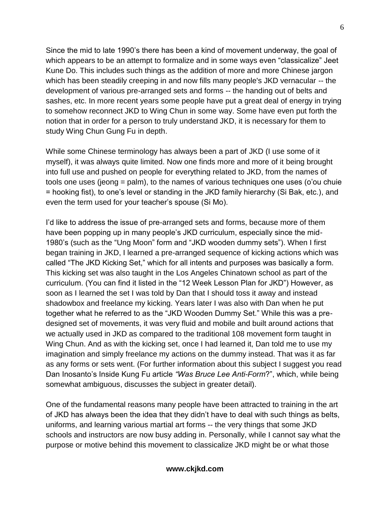Since the mid to late 1990's there has been a kind of movement underway, the goal of which appears to be an attempt to formalize and in some ways even "classicalize" Jeet Kune Do. This includes such things as the addition of more and more Chinese jargon which has been steadily creeping in and now fills many people's JKD vernacular -- the development of various pre-arranged sets and forms -- the handing out of belts and sashes, etc. In more recent years some people have put a great deal of energy in trying to somehow reconnect JKD to Wing Chun in some way. Some have even put forth the notion that in order for a person to truly understand JKD, it is necessary for them to study Wing Chun Gung Fu in depth.

While some Chinese terminology has always been a part of JKD (I use some of it myself), it was always quite limited. Now one finds more and more of it being brought into full use and pushed on people for everything related to JKD, from the names of tools one uses (jeong = palm), to the names of various techniques one uses (o'ou chuie = hooking fist), to one's level or standing in the JKD family hierarchy (Si Bak, etc.), and even the term used for your teacher's spouse (Si Mo).

I'd like to address the issue of pre-arranged sets and forms, because more of them have been popping up in many people's JKD curriculum, especially since the mid-1980's (such as the "Ung Moon" form and "JKD wooden dummy sets"). When I first began training in JKD, I learned a pre-arranged sequence of kicking actions which was called "The JKD Kicking Set," which for all intents and purposes was basically a form. This kicking set was also taught in the Los Angeles Chinatown school as part of the curriculum. (You can find it listed in the "12 Week Lesson Plan for JKD") However, as soon as I learned the set I was told by Dan that I should toss it away and instead shadowbox and freelance my kicking. Years later I was also with Dan when he put together what he referred to as the "JKD Wooden Dummy Set." While this was a predesigned set of movements, it was very fluid and mobile and built around actions that we actually used in JKD as compared to the traditional 108 movement form taught in Wing Chun. And as with the kicking set, once I had learned it, Dan told me to use my imagination and simply freelance my actions on the dummy instead. That was it as far as any forms or sets went. (For further information about this subject I suggest you read Dan Inosanto's Inside Kung Fu article *"Was Bruce Lee Anti-Form*?", which, while being somewhat ambiguous, discusses the subject in greater detail).

One of the fundamental reasons many people have been attracted to training in the art of JKD has always been the idea that they didn't have to deal with such things as belts, uniforms, and learning various martial art forms -- the very things that some JKD schools and instructors are now busy adding in. Personally, while I cannot say what the purpose or motive behind this movement to classicalize JKD might be or what those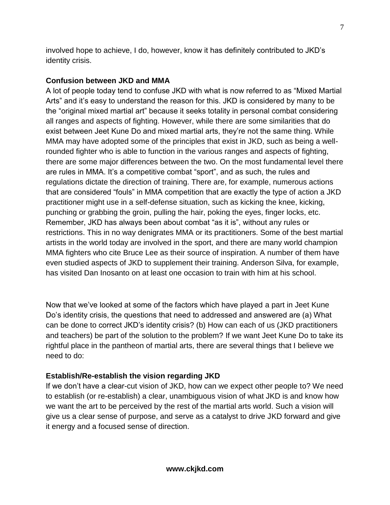involved hope to achieve, I do, however, know it has definitely contributed to JKD's identity crisis.

## **Confusion between JKD and MMA**

A lot of people today tend to confuse JKD with what is now referred to as "Mixed Martial Arts" and it's easy to understand the reason for this. JKD is considered by many to be the "original mixed martial art" because it seeks totality in personal combat considering all ranges and aspects of fighting. However, while there are some similarities that do exist between Jeet Kune Do and mixed martial arts, they're not the same thing. While MMA may have adopted some of the principles that exist in JKD, such as being a wellrounded fighter who is able to function in the various ranges and aspects of fighting, there are some major differences between the two. On the most fundamental level there are rules in MMA. It's a competitive combat "sport", and as such, the rules and regulations dictate the direction of training. There are, for example, numerous actions that are considered "fouls" in MMA competition that are exactly the type of action a JKD practitioner might use in a self-defense situation, such as kicking the knee, kicking, punching or grabbing the groin, pulling the hair, poking the eyes, finger locks, etc. Remember, JKD has always been about combat "as it is", without any rules or restrictions. This in no way denigrates MMA or its practitioners. Some of the best martial artists in the world today are involved in the sport, and there are many world champion MMA fighters who cite Bruce Lee as their source of inspiration. A number of them have even studied aspects of JKD to supplement their training. Anderson Silva, for example, has visited Dan Inosanto on at least one occasion to train with him at his school.

Now that we've looked at some of the factors which have played a part in Jeet Kune Do's identity crisis, the questions that need to addressed and answered are (a) What can be done to correct JKD's identity crisis? (b) How can each of us (JKD practitioners and teachers) be part of the solution to the problem? If we want Jeet Kune Do to take its rightful place in the pantheon of martial arts, there are several things that I believe we need to do:

# **Establish/Re-establish the vision regarding JKD**

If we don't have a clear-cut vision of JKD, how can we expect other people to? We need to establish (or re-establish) a clear, unambiguous vision of what JKD is and know how we want the art to be perceived by the rest of the martial arts world. Such a vision will give us a clear sense of purpose, and serve as a catalyst to drive JKD forward and give it energy and a focused sense of direction.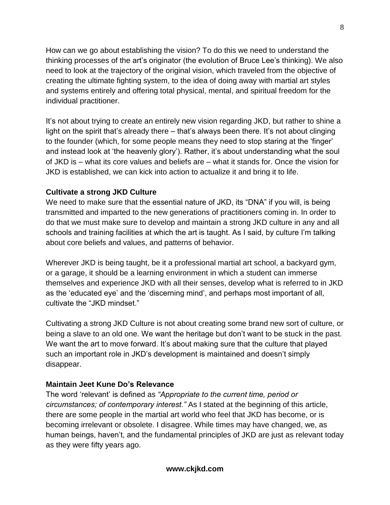How can we go about establishing the vision? To do this we need to understand the thinking processes of the art's originator (the evolution of Bruce Lee's thinking). We also need to look at the trajectory of the original vision, which traveled from the objective of creating the ultimate fighting system, to the idea of doing away with martial art styles and systems entirely and offering total physical, mental, and spiritual freedom for the individual practitioner.

It's not about trying to create an entirely new vision regarding JKD, but rather to shine a light on the spirit that's already there – that's always been there. It's not about clinging to the founder (which, for some people means they need to stop staring at the 'finger' and instead look at 'the heavenly glory'). Rather, it's about understanding what the soul of JKD is – what its core values and beliefs are – what it stands for. Once the vision for JKD is established, we can kick into action to actualize it and bring it to life.

### **Cultivate a strong JKD Culture**

We need to make sure that the essential nature of JKD, its "DNA" if you will, is being transmitted and imparted to the new generations of practitioners coming in. In order to do that we must make sure to develop and maintain a strong JKD culture in any and all schools and training facilities at which the art is taught. As I said, by culture I'm talking about core beliefs and values, and patterns of behavior.

Wherever JKD is being taught, be it a professional martial art school, a backyard gym, or a garage, it should be a learning environment in which a student can immerse themselves and experience JKD with all their senses, develop what is referred to in JKD as the 'educated eye' and the 'discerning mind', and perhaps most important of all, cultivate the "JKD mindset."

Cultivating a strong JKD Culture is not about creating some brand new sort of culture, or being a slave to an old one. We want the heritage but don't want to be stuck in the past. We want the art to move forward. It's about making sure that the culture that played such an important role in JKD's development is maintained and doesn't simply disappear.

# **Maintain Jeet Kune Do's Relevance**

The word 'relevant' is defined as *"Appropriate to the current time, period or circumstances; of contemporary interest."* As I stated at the beginning of this article, there are some people in the martial art world who feel that JKD has become, or is becoming irrelevant or obsolete. I disagree. While times may have changed, we, as human beings, haven't, and the fundamental principles of JKD are just as relevant today as they were fifty years ago.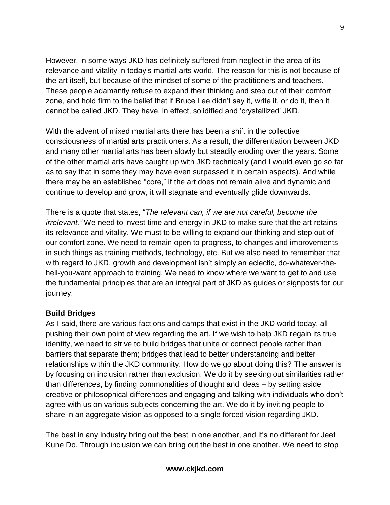However, in some ways JKD has definitely suffered from neglect in the area of its relevance and vitality in today's martial arts world. The reason for this is not because of the art itself, but because of the mindset of some of the practitioners and teachers. These people adamantly refuse to expand their thinking and step out of their comfort zone, and hold firm to the belief that if Bruce Lee didn't say it, write it, or do it, then it cannot be called JKD. They have, in effect, solidified and 'crystallized' JKD.

With the advent of mixed martial arts there has been a shift in the collective consciousness of martial arts practitioners. As a result, the differentiation between JKD and many other martial arts has been slowly but steadily eroding over the years. Some of the other martial arts have caught up with JKD technically (and I would even go so far as to say that in some they may have even surpassed it in certain aspects). And while there may be an established "core," if the art does not remain alive and dynamic and continue to develop and grow, it will stagnate and eventually glide downwards.

There is a quote that states, "*The relevant can, if we are not careful, become the irrelevant."* We need to invest time and energy in JKD to make sure that the art retains its relevance and vitality. We must to be willing to expand our thinking and step out of our comfort zone. We need to remain open to progress, to changes and improvements in such things as training methods, technology, etc. But we also need to remember that with regard to JKD, growth and development isn't simply an eclectic, do-whatever-thehell-you-want approach to training. We need to know where we want to get to and use the fundamental principles that are an integral part of JKD as guides or signposts for our journey.

### **Build Bridges**

As I said, there are various factions and camps that exist in the JKD world today, all pushing their own point of view regarding the art. If we wish to help JKD regain its true identity, we need to strive to build bridges that unite or connect people rather than barriers that separate them; bridges that lead to better understanding and better relationships within the JKD community. How do we go about doing this? The answer is by focusing on inclusion rather than exclusion. We do it by seeking out similarities rather than differences, by finding commonalities of thought and ideas – by setting aside creative or philosophical differences and engaging and talking with individuals who don't agree with us on various subjects concerning the art. We do it by inviting people to share in an aggregate vision as opposed to a single forced vision regarding JKD.

The best in any industry bring out the best in one another, and it's no different for Jeet Kune Do. Through inclusion we can bring out the best in one another. We need to stop